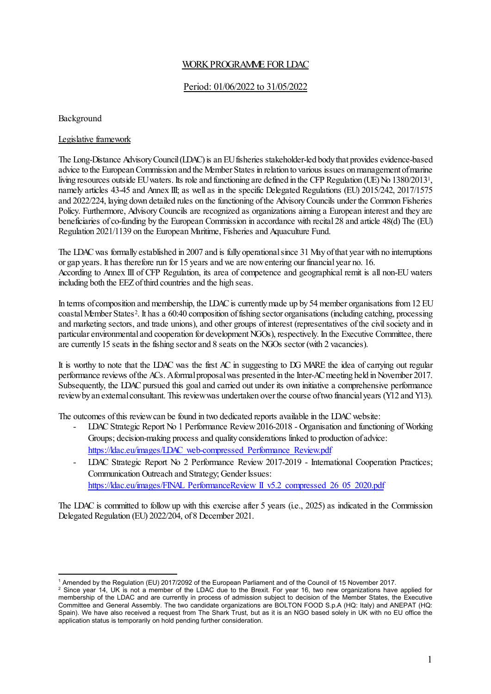## WORK PROGRAMME FOR LDAC

## Period: 01/06/2022 to 31/05/2022

Background

### Legislative framework

The Long-Distance Advisory Council (LDAC) is an EU fisheries stakeholder-led body that provides evidence-based advice to the European Commission and the Member States in relation to various issues on management of marine living resources outside EU waters. Its role and functioning are defined in the CFP Regulation (UE) No 1380/2013[1,](#page-0-0) namely articles 43-45 and Annex III; as well as in the specific Delegated Regulations (EU) 2015/242, 2017/1575 and 2022/224, laying down detailed rules on the functioning of the Advisory Councils under the Common Fisheries Policy. Furthermore, Advisory Councils are recognized as organizations aiming a European interest and they are beneficiaries of co-funding by the European Commission in accordance with recital 28 and article 48(d) The (EU) Regulation 2021/1139 on the European Maritime, Fisheries and Aquaculture Fund.

The LDAC was formally established in 2007 and is fully operational since 31 May of that year with no interruptions or gap years. It has therefore run for 15 years and we are now entering our financial year no. 16. According to Annex III of CFP Regulation, its area of competence and geographical remit is all non-EU waters including both the EEZ of third countries and the high seas.

In terms of composition and membership, the LDAC is currently made up by 54 member organisations from 12 EU coastal Member States[2.](#page-0-1) It has a 60:40 composition of fishing sector organisations (including catching, processing and marketing sectors, and trade unions), and other groups of interest (representatives of the civil society and in particular environmental and cooperation for development NGOs), respectively. In the Executive Committee, there are currently 15 seats in the fishing sector and 8 seats on the NGOs sector (with 2 vacancies).

It is worthy to note that the LDAC was the first AC in suggesting to DG MARE the idea of carrying out regular performance reviews of the ACs. A formal proposal was presented in the Inter-AC meeting held in November 2017. Subsequently, the LDAC pursued this goal and carried out under its own initiative a comprehensive performance reviewby an external consultant. This reviewwas undertaken over the course of two financial years (Y12 and Y13).

The outcomes of this review can be found in two dedicated reports available in the LDAC website:

- LDAC Strategic Report No 1 Performance Review 2016-2018 Organisation and functioning of Working Groups; decision-making process and quality considerations linked to production of advice: [https://ldac.eu/images/LDAC\\_web-compressed\\_Performance\\_Review.pdf](https://ldac.eu/images/LDAC_web-compressed_Performance_Review.pdf)
- LDAC Strategic Report No 2 Performance Review 2017-2019 International Cooperation Practices; Communication Outreach and Strategy; Gender Issues: [https://ldac.eu/images/FINAL\\_PerformanceReview\\_II\\_v5.2\\_compressed\\_26\\_05\\_2020.pdf](https://ldac.eu/images/FINAL_PerformanceReview_II_v5.2_compressed_26_05_2020.pdf)

The LDAC is committed to follow up with this exercise after 5 years (i.e., 2025) as indicated in the Commission Delegated Regulation (EU) 2022/204, of 8 December 2021.

<sup>1</sup> Amended by the Regulation (EU) 2017/2092 of the European Parliament and of the Council of 15 November 2017.

<span id="page-0-1"></span><span id="page-0-0"></span><sup>&</sup>lt;sup>2</sup> Since year 14, UK is not a member of the LDAC due to the Brexit. For year 16, two new organizations have applied for membership of the LDAC and are currently in process of admission subject to decision of the Member States, the Executive Committee and General Assembly. The two candidate organizations are BOLTON FOOD S.p.A (HQ: Italy) and ANEPAT (HQ: Spain). We have also received a request from The Shark Trust, but as it is an NGO based solely in UK with no EU office the application status is temporarily on hold pending further consideration.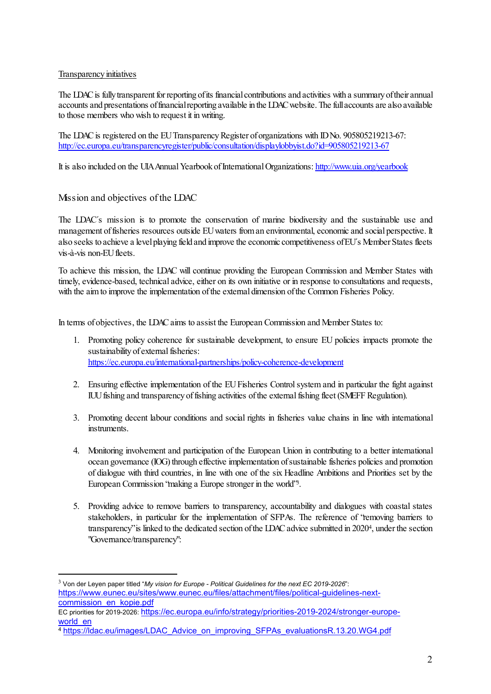## Transparency initiatives

The LDAC is fully transparent for reporting of its financial contributions and activities with a summary of their annual accounts and presentations of financial reporting available in the LDAC website. The full accounts are also available to those members who wish to request it in writing.

The LDAC is registered on the EU Transparency Register of organizations with ID No. 905805219213-67: <http://ec.europa.eu/transparencyregister/public/consultation/displaylobbyist.do?id=905805219213-67>

It is also included on the UIA Annual Yearbook of International Organizations: <http://www.uia.org/yearbook>

Mission and objectives of the LDAC

The LDAC´s mission is to promote the conservation of marine biodiversity and the sustainable use and management of fisheries resources outside EU waters from an environmental, economic and social perspective. It also seeks to achieve a level playing field and improve the economic competitiveness of EU´s Member States fleets vis-à-vis non-EU fleets.

To achieve this mission, the LDAC will continue providing the European Commission and Member States with timely, evidence-based, technical advice, either on its own initiative or in response to consultations and requests, with the aim to improve the implementation of the external dimension of the Common Fisheries Policy.

In terms of objectives, the LDAC aims to assist the European Commission and Member States to:

- 1. Promoting policy coherence for sustainable development, to ensure EU policies impacts promote the sustainability of external fisheries: <https://ec.europa.eu/international-partnerships/policy-coherence-development>
- 2. Ensuring effective implementation of the EU Fisheries Control system and in particular the fight against IUU fishing and transparency of fishing activities of the external fishing fleet (SMEFF Regulation).
- 3. Promoting decent labour conditions and social rights in fisheries value chains in line with international instruments.
- 4. Monitoring involvement and participation of the European Union in contributing to a better international ocean governance (IOG) through effective implementation of sustainable fisheries policies and promotion of dialogue with third countries, in line with one of the six Headline Ambitions and Priorities set by the European Commission "making a Europe stronger in the world["3.](#page-1-0)
- 5. Providing advice to remove barriers to transparency, accountability and dialogues with coastal states stakeholders, in particular for the implementation of SFPAs. The reference of 'removing barriers to transparency" is linked to the dedicated section of the LDAC advice submitted in 202[04,](#page-1-1) under the section "Governance/transparency":

<span id="page-1-0"></span><sup>3</sup> Von der Leyen paper titled "*My vision for Europe - Political Guidelines for the next EC 2019-2026*": [https://www.eunec.eu/sites/www.eunec.eu/files/attachment/files/political-guidelines-next](https://www.eunec.eu/sites/www.eunec.eu/files/attachment/files/political-guidelines-next-commission_en_kopie.pdf)[commission\\_en\\_kopie.pdf](https://www.eunec.eu/sites/www.eunec.eu/files/attachment/files/political-guidelines-next-commission_en_kopie.pdf)

EC priorities for 2019-2026: [https://ec.europa.eu/info/strategy/priorities-2019-2024/stronger-europe](https://ec.europa.eu/info/strategy/priorities-2019-2024/stronger-europe-world_en)[world\\_en](https://ec.europa.eu/info/strategy/priorities-2019-2024/stronger-europe-world_en)

<span id="page-1-1"></span><sup>4</sup> [https://ldac.eu/images/LDAC\\_Advice\\_on\\_improving\\_SFPAs\\_evaluationsR.13.20.WG4.pdf](https://ldac.eu/images/LDAC_Advice_on_improving_SFPAs_evaluationsR.13.20.WG4.pdf)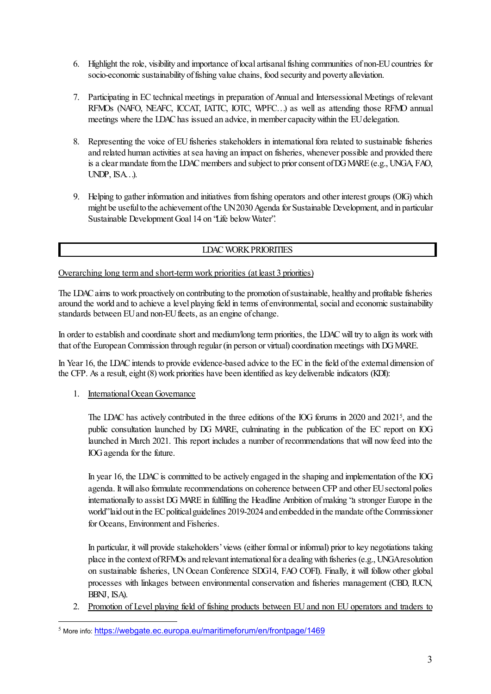- 6. Highlight the role, visibility and importance of local artisanal fishing communities of non-EU countries for socio-economic sustainability of fishing value chains, food security and poverty alleviation.
- 7. Participating in EC technical meetings in preparation of Annual and Intersessional Meetings of relevant RFMOs (NAFO, NEAFC, ICCAT, IATTC, IOTC, WPFC…) as well as attending those RFMO annual meetings where the LDAC has issued an advice, in member capacity within the EU delegation.
- 8. Representing the voice of EU fisheries stakeholders in international fora related to sustainable fisheries and related human activities at sea having an impact on fisheries, whenever possible and provided there is a clear mandate from the LDAC members and subject to prior consent of DG MARE(e.g., UNGA, FAO, UNDP, ISA…).
- 9. Helping to gather information and initiatives from fishing operators and other interest groups (OIG) which might be useful to the achievement of the UN 2030 Agenda for Sustainable Development, and in particular Sustainable Development Goal 14 on "Life below Water".

## LDACWORKPRIORITIES

## Overarching long term and short-term work priorities (at least 3 priorities)

The LDAC aims to work proactively on contributing to the promotion of sustainable, healthy and profitable fisheries around the world and to achieve a level playing field in terms of environmental, social and economic sustainability standards between EU and non-EU fleets, as an engine of change.

In order to establish and coordinate short and medium/long term priorities, the LDAC will try to align its work with that of the European Commission through regular (in person or virtual) coordination meetings with DG MARE.

In Year 16, the LDAC intends to provide evidence-based advice to the EC in the field of the external dimension of the CFP. As a result, eight (8) work priorities have been identified as key deliverable indicators (KDI):

## 1. International Ocean Governance

The LDAC has actively contributed in the three editions of the IOG forums in 2020 and 2021[5,](#page-2-0) and the public consultation launched by DG MARE, culminating in the publication of the EC report on IOG launched in March 2021. This report includes a number of recommendations that will now feed into the IOG agenda for the future.

In year 16, the LDAC is committed to be actively engaged in the shaping and implementation of the IOG agenda. It will also formulate recommendations on coherence between CFP and other EU sectoral polies internationally to assist DG MARE in fulfilling the Headline Ambition of making "a stronger Europe in the world"laid out in the EC political guidelines 2019-2024 and embedded in the mandate of the Commissioner for Oceans, Environment and Fisheries.

In particular, it will provide stakeholders'views (either formal or informal) prior to key negotiations taking place in the context ofRFMOs and relevant international for a dealing with fisheries (e.g., UNGAresolution on sustainable fisheries, UN Ocean Conference SDG14, FAO COFI). Finally, it will follow other global processes with linkages between environmental conservation and fisheries management (CBD, IUCN, BBNJ, ISA).

2. Promotion of Level playing field of fishing products between EU and non EU operators and traders to

<span id="page-2-0"></span><sup>5</sup> More info: <https://webgate.ec.europa.eu/maritimeforum/en/frontpage/1469>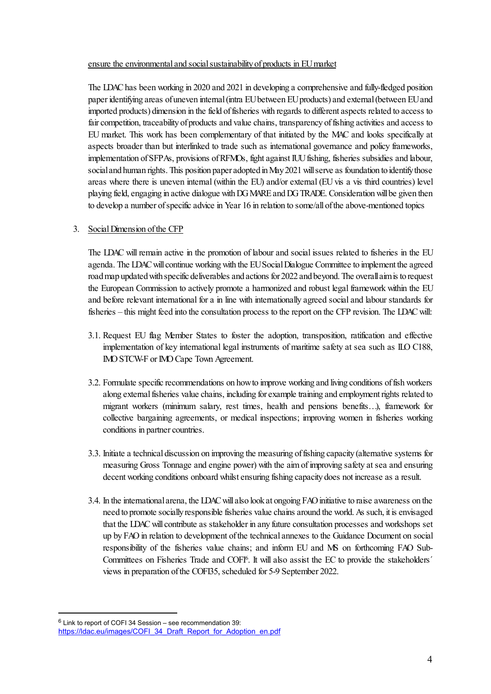#### ensure the environmental and social sustainability of products in EU market

The LDAC has been working in 2020 and 2021 in developing a comprehensive and fully-fledged position paper identifying areas of uneven internal (intra EU between EU products) and external (between EU and imported products) dimension in the field of fisheries with regards to different aspects related to access to fair competition, traceability of products and value chains, transparency of fishing activities and access to EU market. This work has been complementary of that initiated by the MAC and looks specifically at aspects broader than but interlinked to trade such as international governance and policy frameworks, implementation of SFPAs, provisions of RFMOs, fight against IUU fishing, fisheries subsidies and labour, social and human rights. This position paper adopted in May 2021 will serve as foundation to identify those areas where there is uneven internal (within the EU) and/or external (EU vis a vis third countries) level playing field, engaging in active dialogue with DG MARE and DG TRADE. Consideration will be given then to develop a number of specific advice in Year 16 in relation to some/all of the above-mentioned topics

### 3. Social Dimension of the CFP

The LDAC will remain active in the promotion of labour and social issues related to fisheries in the EU agenda. The LDACwill continue working with the EU Social Dialogue Committee to implement the agreed roadmap updated with specific deliverables and actions for 2022 and beyond. The overall aim is to request the European Commission to actively promote a harmonized and robust legal framework within the EU and before relevant international for a in line with internationally agreed social and labour standards for fisheries – this might feed into the consultation process to the report on the CFP revision. The LDAC will:

- 3.1. Request EU flag Member States to foster the adoption, transposition, ratification and effective implementation of key international legal instruments of maritime safety at sea such as ILO C188, IMO STCW-F or IMO Cape Town Agreement.
- 3.2. Formulate specific recommendations on how to improve working and living conditions of fish workers along external fisheries value chains, including for example training and employment rights related to migrant workers (minimum salary, rest times, health and pensions benefits…), framework for collective bargaining agreements, or medical inspections; improving women in fisheries working conditions in partner countries.
- 3.3. Initiate a technical discussion on improving the measuring offishing capacity (alternative systems for measuring Gross Tonnage and engine power) with the aim of improving safety at sea and ensuring decent working conditions onboard whilst ensuring fishing capacity does not increase as a result.
- 3.4. In the international arena, the LDAC will also lookat ongoing FAO initiative to raise awareness on the need to promote socially responsible fisheries value chains around the world. As such, it is envisaged that the LDAC will contribute as stakeholder in any future consultation processes and workshops set up by FAO in relation to development of the technical annexes to the Guidance Document on social responsibility of the fisheries value chains; and inform EU and MS on forthcoming FAO Sub-Committees on Fisheries Trade and COFI<sup>6</sup>. It will also assist the EC to provide the stakeholders' views in preparation of the COFI35, scheduled for 5-9 September 2022.

<span id="page-3-0"></span> $6$  Link to report of COFI 34 Session – see recommendation 39:

[https://ldac.eu/images/COFI\\_34\\_Draft\\_Report\\_for\\_Adoption\\_en.pdf](https://ldac.eu/images/COFI_34_Draft_Report_for_Adoption_en.pdf)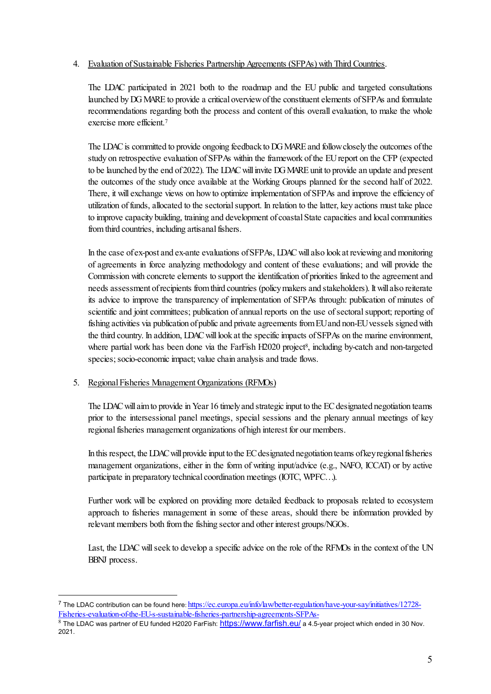## 4. Evaluation of Sustainable Fisheries Partnership Agreements (SFPAs) with Third Countries.

The LDAC participated in 2021 both to the roadmap and the EU public and targeted consultations launched by DG MARE to provide a critical overview of the constituent elements of SFPAs and formulate recommendations regarding both the process and content of this overall evaluation, to make the whole exercise more efficient.[7](#page-4-0)

The LDAC is committed to provide ongoing feedback to DG MARE and follow closely the outcomes of the study on retrospective evaluation of SFPAs within the framework of the EU report on the CFP (expected to be launched by the end of 2022). The LDAC will invite DG MARE unit to provide an update and present the outcomes of the study once available at the Working Groups planned for the second half of 2022. There, it will exchange views on how to optimize implementation of SFPAs and improve the efficiency of utilization of funds, allocated to the sectorial support. In relation to the latter, key actions must take place to improve capacity building, training and development of coastal State capacities and local communities from third countries, including artisanal fishers.

In the case of ex-post and ex-ante evaluations of SFPAs, LDAC will also look at reviewing and monitoring of agreements in force analyzing methodology and content of these evaluations; and will provide the Commission with concrete elements to support the identification of priorities linked to the agreement and needs assessment of recipients from third countries (policy makers and stakeholders). It will also reiterate its advice to improve the transparency of implementation of SFPAs through: publication of minutes of scientific and joint committees; publication of annual reports on the use of sectoral support; reporting of fishing activities via publication of public and private agreements from EU and non-EU vessels signed with the third country. In addition, LDAC will look at the specific impacts of SFPAs on the marine environment, where partial work has been done via the FarFish H2020 project<sup>8</sup>, including by-catch and non-targeted species; socio-economic impact; value chain analysis and trade flows.

## 5. Regional Fisheries Management Organizations (RFMOs)

The LDAC will aim to provide in Year 16 timely and strategic input to the EC designated negotiation teams prior to the intersessional panel meetings, special sessions and the plenary annual meetings of key regional fisheries management organizations of high interest for our members.

In this respect, the LDAC will provide input to the EC designated negotiation teams of key regional fisheries management organizations, either in the form of writing input/advice (e.g., NAFO, ICCAT) or by active participate in preparatory technical coordination meetings (IOTC, WPFC…).

Further work will be explored on providing more detailed feedback to proposals related to ecosystem approach to fisheries management in some of these areas, should there be information provided by relevant members both from the fishing sector and other interest groups/NGOs.

Last, the LDAC will seek to develop a specific advice on the role of the RFMOs in the context of the UN BBNJ process.

<span id="page-4-0"></span><sup>&</sup>lt;sup>7</sup> The LDAC contribution can be found here[: https://ec.europa.eu/info/law/better-regulation/have-your-say/initiatives/12728-](https://ec.europa.eu/info/law/better-regulation/have-your-say/initiatives/12728-Fisheries-evaluation-of-the-EU-s-sustainable-fisheries-partnership-agreements-SFPAs-) [Fisheries-evaluation-of-the-EU-s-sustainable-fisheries-partnership-agreements-SFPAs-](https://ec.europa.eu/info/law/better-regulation/have-your-say/initiatives/12728-Fisheries-evaluation-of-the-EU-s-sustainable-fisheries-partnership-agreements-SFPAs-)

<span id="page-4-1"></span><sup>&</sup>lt;sup>8</sup> The LDAC was partner of EU funded H2020 FarFish: <https://www.farfish.eu/> a 4.5-year project which ended in 30 Nov. 2021.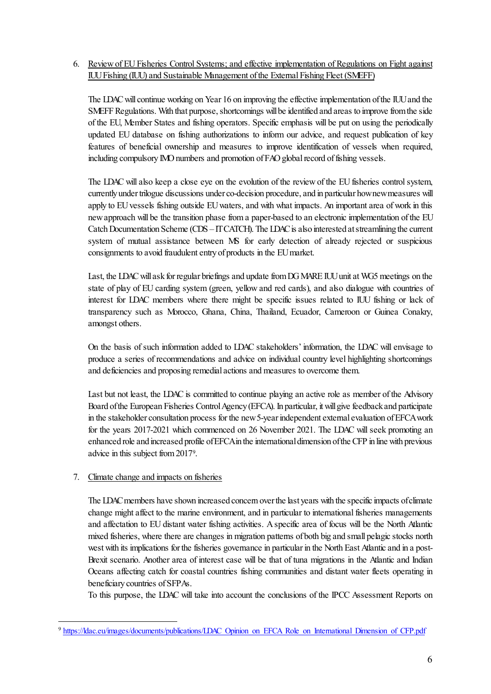## 6. Review of EU Fisheries Control Systems; and effective implementation of Regulations on Fight against IUU Fishing (IUU) and Sustainable Management of the External Fishing Fleet (SMEFF)

The LDAC will continue working on Year 16 on improving the effective implementation of the IUU and the SMEFF Regulations. With that purpose, shortcomings will be identified and areas to improve from the side of the EU, Member States and fishing operators. Specific emphasis will be put on using the periodically updated EU database on fishing authorizations to inform our advice, and request publication of key features of beneficial ownership and measures to improve identification of vessels when required, including compulsory IMO numbers and promotion of FAO global record of fishing vessels.

The LDAC will also keep a close eye on the evolution of the review of the EUfisheries control system, currently under trilogue discussions under co-decision procedure, and in particular how new measures will apply to EU vessels fishing outside EU waters, and with what impacts. An important area of work in this new approach will be the transition phase from a paper-based to an electronic implementation of the EU Catch Documentation Scheme (CDS – IT CATCH). The LDAC is also interested at streamlining the current system of mutual assistance between MS for early detection of already rejected or suspicious consignments to avoid fraudulent entry of products in the EU market.

Last, the LDAC will ask for regular briefings and update from DG MARE IUU unit at WG5 meetings on the state of play of EU carding system (green, yellow and red cards), and also dialogue with countries of interest for LDAC members where there might be specific issues related to IUU fishing or lack of transparency such as Morocco, Ghana, China, Thailand, Ecuador, Cameroon or Guinea Conakry, amongst others.

On the basis of such information added to LDAC stakeholders' information, the LDAC will envisage to produce a series of recommendations and advice on individual country level highlighting shortcomings and deficiencies and proposing remedial actions and measures to overcome them.

Last but not least, the LDAC is committed to continue playing an active role as member of the Advisory Board of the European Fisheries Control Agency (EFCA). In particular, it will give feedback and participate in the stakeholder consultation process for the new 5-year independent external evaluation of EFCA work for the years 2017-2021 which commenced on 26 November 2021. The LDAC will seek promoting an enhanced role and increased profile of EFCA in the international dimension of the CFP in line with previous advice in this subject from 2017[9.](#page-5-0)

## 7. Climate change and impacts on fisheries

The LDAC members have shown increased concern over the last years with the specific impacts of climate change might affect to the marine environment, and in particular to international fisheries managements and affectation to EU distant water fishing activities. A specific area of focus will be the North Atlantic mixed fisheries, where there are changes in migration patterns of both big and small pelagic stocks north west with its implications for the fisheries governance in particular in the North East Atlantic and in a post-Brexit scenario. Another area of interest case will be that of tuna migrations in the Atlantic and Indian Oceans affecting catch for coastal countries fishing communities and distant water fleets operating in beneficiary countries of SFPAs.

To this purpose, the LDAC will take into account the conclusions of the IPCC Assessment Reports on

<span id="page-5-0"></span><sup>9</sup> [https://ldac.eu/images/documents/publications/LDAC\\_Opinion\\_on\\_EFCA\\_Role\\_on\\_International\\_Dimension\\_of\\_CFP.pdf](https://ldac.eu/images/documents/publications/LDAC_Opinion_on_EFCA_Role_on_International_Dimension_of_CFP.pdf)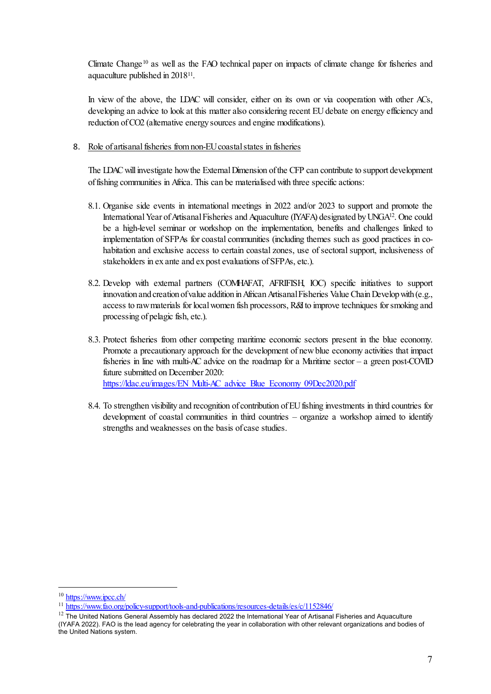Climate Change<sup>[10](#page-6-0)</sup> as well as the FAO technical paper on impacts of climate change for fisheries and aquaculture published in 2018[11.](#page-6-1)

In view of the above, the LDAC will consider, either on its own or via cooperation with other ACs, developing an advice to look at this matter also considering recent EU debate on energy efficiency and reduction of CO2 (alternative energy sources and engine modifications).

#### 8. Role of artisanal fisheries from non-EU coastal states in fisheries

The LDAC will investigate how the External Dimension of the CFP can contribute to support development of fishing communities in Africa. This can be materialised with three specific actions:

- 8.1. Organise side events in international meetings in 2022 and/or 2023 to support and promote the International Year of Artisanal Fisheries and Aquaculture (IYAFA) designated by UNG[A12](#page-6-2). One could be a high-level seminar or workshop on the implementation, benefits and challenges linked to implementation of SFPAs for coastal communities (including themes such as good practices in cohabitation and exclusive access to certain coastal zones, use of sectoral support, inclusiveness of stakeholders in ex ante and ex post evaluations of SFPAs, etc.).
- 8.2. Develop with external partners (COMHAFAT, AFRIFISH, IOC) specific initiatives to support innovation and creation of value addition in African Artisanal Fisheries Value Chain Develop with (e.g., access to raw materials for local women fish processors, R&I to improve techniques for smoking and processing of pelagic fish, etc.).
- 8.3. Protect fisheries from other competing maritime economic sectors present in the blue economy. Promote a precautionary approach for the development of new blue economy activities that impact fisheries in line with multi-AC advice on the roadmap for a Maritime sector – a green post-COVID future submitted on December 2020: [https://ldac.eu/images/EN\\_Multi-AC\\_advice\\_Blue\\_Economy\\_09Dec2020.pdf](https://ldac.eu/images/EN_Multi-AC_advice_Blue_Economy_09Dec2020.pdf)
- 8.4. To strengthen visibility and recognition of contribution of EU fishing investments in third countries for development of coastal communities in third countries – organize a workshop aimed to identify strengths and weaknesses on the basis of case studies.

<span id="page-6-0"></span><sup>10</sup> <https://www.ipcc.ch/>

<span id="page-6-1"></span><sup>11</sup> <https://www.fao.org/policy-support/tools-and-publications/resources-details/es/c/1152846/>

<span id="page-6-2"></span> $12$  The United Nations General Assembly has declared 2022 the International Year of Artisanal Fisheries and Aquaculture (IYAFA 2022). FAO is the lead agency for celebrating the year in collaboration with other relevant organizations and bodies of the United Nations system.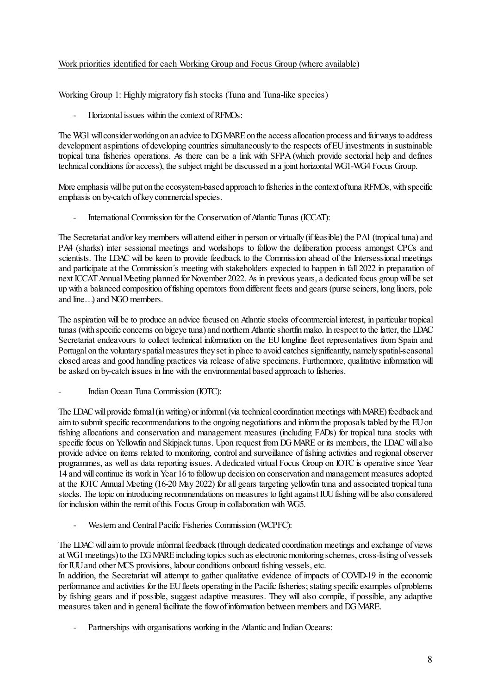## Work priorities identified for each Working Group and Focus Group (where available)

Working Group 1: Highly migratory fish stocks (Tuna and Tuna-like species)

- Horizontal issues within the context of RFMOs:

The WG1 will consider working on an advice to DG MARE on the access allocation process and fair ways to address development aspirations of developing countries simultaneously to the respects of EU investments in sustainable tropical tuna fisheries operations. As there can be a link with SFPA (which provide sectorial help and defines technical conditions for access), the subject might be discussed in a joint horizontal WG1-WG4 Focus Group.

More emphasis will be put on the ecosystem-based approach to fisheries in the context of tuna RFMOs, with specific emphasis on by-catch of key commercial species.

International Commission for the Conservation of Atlantic Tunas (ICCAT):

The Secretariat and/or key members will attend either in person or virtually (if feasible) the PA1 (tropical tuna) and PA4 (sharks) inter sessional meetings and workshops to follow the deliberation process amongst CPCs and scientists. The LDAC will be keen to provide feedback to the Commission ahead of the Intersessional meetings and participate at the Commission´s meeting with stakeholders expected to happen in fall 2022 in preparation of next ICCAT Annual Meeting planned for November 2022. As in previous years, a dedicated focus group will be set up with a balanced composition of fishing operators from different fleets and gears (purse seiners, long liners, pole and line…) and NGO members.

The aspiration will be to produce an advice focused on Atlantic stocks of commercial interest, in particular tropical tunas (with specific concerns on bigeye tuna) and northern Atlantic shortfin mako. In respect to the latter, the LDAC Secretariat endeavours to collect technical information on the EU longline fleet representatives from Spain and Portugal on the voluntary spatial measures they set in place to avoid catches significantly, namely spatial-seasonal closed areas and good handling practices via release of alive specimens. Furthermore, qualitative information will be asked on by-catch issues in line with the environmental based approach to fisheries.

- Indian Ocean Tuna Commission (IOTC):

The LDAC will provide formal (in writing) or informal (via technical coordination meetings with MARE) feedback and aim to submit specific recommendations to the ongoing negotiations and inform the proposals tabled by the EU on fishing allocations and conservation and management measures (including FADs) for tropical tuna stocks with specific focus on Yellowfin and Skipjack tunas. Upon request from DG MARE or its members, the LDAC will also provide advice on items related to monitoring, control and surveillance of fishing activities and regional observer programmes, as well as data reporting issues. A dedicated virtual Focus Group on IOTC is operative since Year 14 and will continue its work in Year 16 to follow up decision on conservation and management measures adopted at the IOTC Annual Meeting (16-20 May 2022) for all gears targeting yellowfin tuna and associated tropical tuna stocks. The topic on introducing recommendations on measures to fight against IUU fishing will be also considered for inclusion within the remit of this Focus Group in collaboration with WG5.

- Western and Central Pacific Fisheries Commission (WCPFC):

The LDAC will aim to provide informal feedback (through dedicated coordination meetings and exchange of views at WG1 meetings) to the DG MARE including topics such as electronic monitoring schemes, cross-listing of vessels for IUU and other MCS provisions, labour conditions onboard fishing vessels, etc.

In addition, the Secretariat will attempt to gather qualitative evidence of impacts of COVID-19 in the economic performance and activities for the EU fleets operating in the Pacific fisheries; stating specific examples of problems by fishing gears and if possible, suggest adaptive measures. They will also compile, if possible, any adaptive measures taken and in general facilitate the flow of information between members and DG MARE.

Partnerships with organisations working in the Atlantic and Indian Oceans: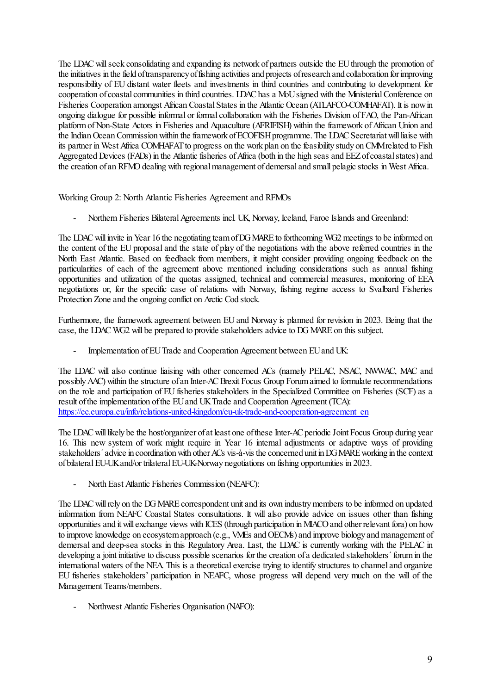The LDAC will seek consolidating and expanding its network of partners outside the EU through the promotion of the initiatives in the field oftransparency of fishing activities and projects of research and collaboration for improving responsibility of EU distant water fleets and investments in third countries and contributing to development for cooperation of coastal communities in third countries. LDAC has a MoU signed with the Ministerial Conference on Fisheries Cooperation amongst African Coastal States in the Atlantic Ocean (ATLAFCO-COMHAFAT). It is now in ongoing dialogue for possible informal or formal collaboration with the Fisheries Division of FAO, the Pan-African platform of Non-State Actors in Fisheries and Aquaculture (AFRIFISH) within the framework of African Union and the Indian Ocean Commission within the framework of ECOFISH programme. The LDAC Secretariat will liaise with its partner in West Africa COMHAFAT to progress on the work plan on the feasibility study on CMM related to Fish Aggregated Devices (FADs) in the Atlantic fisheries of Africa (both in the high seas and EEZ of coastal states) and the creation of an RFMO dealing with regional management of demersal and small pelagic stocks in West Africa.

Working Group 2: North Atlantic Fisheries Agreement and RFMOs

- Northern Fisheries Bilateral Agreements incl. UK, Norway, Iceland, Faroe Islands and Greenland:

The LDAC will invite in Year 16 the negotiating team of DG MARE to forthcoming WG2 meetings to be informed on the content of the EU proposal and the state of play of the negotiations with the above referred countries in the North East Atlantic. Based on feedback from members, it might consider providing ongoing feedback on the particularities of each of the agreement above mentioned including considerations such as annual fishing opportunities and utilization of the quotas assigned, technical and commercial measures, monitoring of EEA negotiations or, for the specific case of relations with Norway, fishing regime access to Svalbard Fisheries Protection Zone and the ongoing conflict on Arctic Cod stock.

Furthermore, the framework agreement between EU and Norway is planned for revision in 2023. Being that the case, the LDAC WG2 will be prepared to provide stakeholders advice to DG MARE on this subject.

Implementation of EU Trade and Cooperation Agreement between EU and UK:

The LDAC will also continue liaising with other concerned ACs (namely PELAC, NSAC, NWWAC, MAC and possibly AAC) within the structure of an Inter-AC Brexit Focus Group Forumaimed to formulate recommendations on the role and participation of EU fisheries stakeholders in the Specialized Committee on Fisheries (SCF) as a result of the implementation of the EU and UK Trade and Cooperation Agreement (TCA): [https://ec.europa.eu/info/relations-united-kingdom/eu-uk-trade-and-cooperation-agreement\\_en](https://ec.europa.eu/info/relations-united-kingdom/eu-uk-trade-and-cooperation-agreement_en)

The LDAC will likely be the host/organizer of at least one of these Inter-AC periodic Joint Focus Group during year 16. This new system of work might require in Year 16 internal adjustments or adaptive ways of providing stakeholders´ advice in coordination with other ACs vis-à-vis the concerned unit in DG MARE working in the context of bilateral EU-UK and/or trilateral EU-UK-Norway negotiations on fishing opportunities in 2023.

- North East Atlantic Fisheries Commission (NEAFC):

The LDAC will rely on the DG MARE correspondent unit and its own industry members to be informed on updated information from NEAFC Coastal States consultations. It will also provide advice on issues other than fishing opportunities and it will exchange views with ICES (through participation in MIACO and other relevant fora) on how to improve knowledge on ecosystem approach (e.g., VMEs and OECMs) and improve biology and management of demersal and deep-sea stocks in this Regulatory Area. Last, the LDAC is currently working with the PELAC in developing a joint initiative to discuss possible scenarios for the creation of a dedicated stakeholders' forum in the international waters of the NEA. This is a theoretical exercise trying to identify structures to channel and organize EU fisheries stakeholders' participation in NEAFC, whose progress will depend very much on the will of the Management Teams/members.

- Northwest Atlantic Fisheries Organisation (NAFO):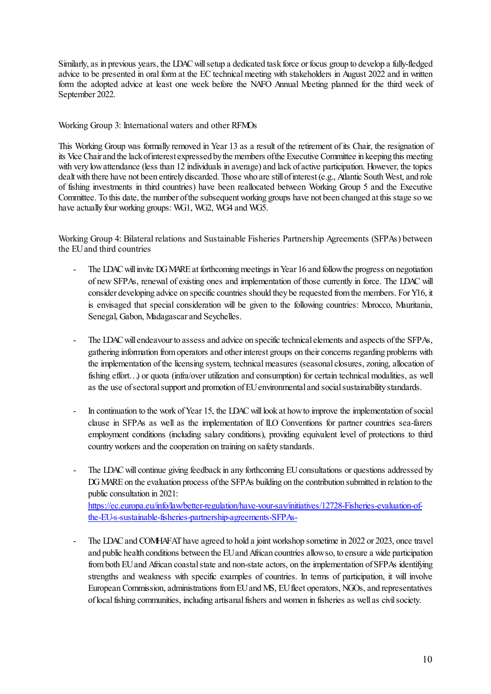Similarly, as in previous years, the LDAC will setup a dedicated task force or focus group to develop a fully-fledged advice to be presented in oral form at the EC technical meeting with stakeholders in August 2022 and in written form the adopted advice at least one week before the NAFO Annual Meeting planned for the third week of September 2022.

Working Group 3: International waters and other RFMOs

This Working Group was formally removed in Year 13 as a result of the retirement of its Chair, the resignation of its Vice Chair and the lack of interest expressed by the members of the Executive Committee in keeping this meeting with very low attendance (less than 12 individuals in average) and lack of active participation. However, the topics dealt with there have not been entirely discarded. Those who are still of interest (e.g., Atlantic South West, and role of fishing investments in third countries) have been reallocated between Working Group 5 and the Executive Committee. To this date, the number of the subsequent working groups have not been changed at this stage so we have actually four working groups: WG1, WG2, WG4 and WG5.

Working Group 4: Bilateral relations and Sustainable Fisheries Partnership Agreements (SFPAs) between the EU and third countries

- The LDAC will invite DG MARE at forthcoming meetings in Year 16 and follow the progress on negotiation of new SFPAs, renewal of existing ones and implementation of those currently in force. The LDAC will consider developing advice on specific countries should they be requested from the members. For Y16, it is envisaged that special consideration will be given to the following countries: Morocco, Mauritania, Senegal, Gabon, Madagascar and Seychelles.
- The LDAC will endeavour to assess and advice on specific technical elements and aspects of the SFPAs, gathering information from operators and other interest groups on their concerns regarding problems with the implementation of the licensing system, technical measures (seasonal closures, zoning, allocation of fishing effort…) or quota (infra/over utilization and consumption) for certain technical modalities, as well as the use of sectoral support and promotion of EU environmental and social sustainability standards.
- In continuation to the work of Year 15, the LDAC will look at how to improve the implementation of social clause in SFPAs as well as the implementation of ILO Conventions for partner countries sea-farers employment conditions (including salary conditions), providing equivalent level of protections to third country workers and the cooperation on training on safety standards.
- The LDAC will continue giving feedback in any forthcoming EU consultations or questions addressed by DG MARE on the evaluation process of the SFPAs building on the contribution submitted in relation to the public consultation in 2021: [https://ec.europa.eu/info/law/better-regulation/have-your-say/initiatives/12728-Fisheries-evaluation-of](https://ec.europa.eu/info/law/better-regulation/have-your-say/initiatives/12728-Fisheries-evaluation-of-the-EU-s-sustainable-fisheries-partnership-agreements-SFPAs-)[the-EU-s-sustainable-fisheries-partnership-agreements-SFPAs-](https://ec.europa.eu/info/law/better-regulation/have-your-say/initiatives/12728-Fisheries-evaluation-of-the-EU-s-sustainable-fisheries-partnership-agreements-SFPAs-)
- The LDAC and COMHAFAT have agreed to hold a joint workshop sometime in 2022 or 2023, once travel and public health conditions between the EU and African countries allowso, to ensure a wide participation from both EU and African coastal state and non-state actors, on the implementation of SFPAs identifying strengths and weakness with specific examples of countries. In terms of participation, it will involve European Commission, administrations from EU and MS, EU fleet operators, NGOs, and representatives of local fishing communities, including artisanal fishers and women in fisheries as well as civil society.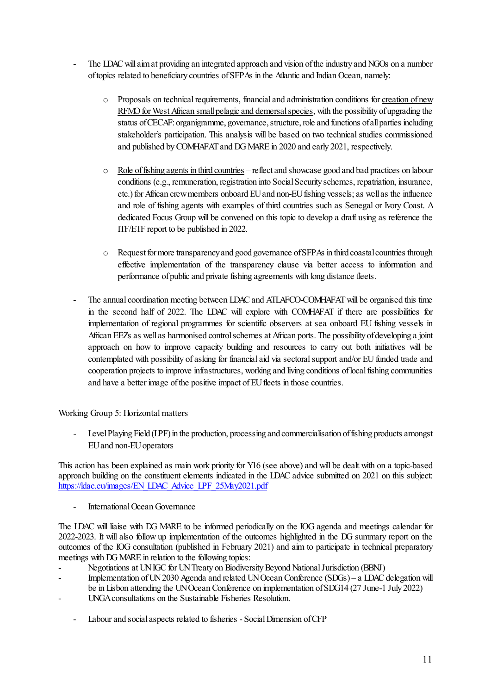- The LDAC will aim at providing an integrated approach and vision of the industry and NGOs on a number of topics related to beneficiary countries of SFPAs in the Atlantic and Indian Ocean, namely:
	- $\circ$  Proposals on technical requirements, financial and administration conditions for creation of new RFMO for West African small pelagic and demersal species, with the possibility of upgrading the status of CECAF: organigramme, governance, structure, role and functions of all parties including stakeholder's participation. This analysis will be based on two technical studies commissioned and published by COMHAFAT and DG MARE in 2020 and early 2021, respectively.
	- $\circ$  Role of fishing agents in third countries reflect and showcase good and bad practices on labour conditions (e.g., remuneration, registration into Social Security schemes, repatriation, insurance, etc.) for African crew members onboard EU and non-EU fishing vessels; as well as the influence and role of fishing agents with examples of third countries such as Senegal or Ivory Coast. A dedicated Focus Group will be convened on this topic to develop a draft using as reference the ITF/ETF report to be published in 2022.
	- o Request for more transparency and good governance of SFPAs in third coastal countries through effective implementation of the transparency clause via better access to information and performance of public and private fishing agreements with long distance fleets.
- The annual coordination meeting between LDAC and ATLAFCO-COMHAFAT will be organised this time in the second half of 2022. The LDAC will explore with COMHAFAT if there are possibilities for implementation of regional programmes for scientific observers at sea onboard EU fishing vessels in African EEZs as well as harmonised control schemes at African ports. The possibility of developing a joint approach on how to improve capacity building and resources to carry out both initiatives will be contemplated with possibility of asking for financial aid via sectoral support and/or EU funded trade and cooperation projects to improve infrastructures, working and living conditions of local fishing communities and have a better image of the positive impact of EU fleets in those countries.

Working Group 5: Horizontal matters

- Level Playing Field (LPF) in the production, processing and commercialisation of fishing products amongst EU and non-EU operators

This action has been explained as main work priority for Y16 (see above) and will be dealt with on a topic-based approach building on the constituent elements indicated in the LDAC advice submitted on 2021 on this subject: [https://ldac.eu/images/EN\\_LDAC\\_Advice\\_LPF\\_25May2021.pdf](https://ldac.eu/images/EN_LDAC_Advice_LPF_25May2021.pdf)

International Ocean Governance

The LDAC will liaise with DG MARE to be informed periodically on the IOG agenda and meetings calendar for 2022-2023. It will also follow up implementation of the outcomes highlighted in the DG summary report on the outcomes of the IOG consultation (published in February 2021) and aim to participate in technical preparatory meetings with DG MARE in relation to the following topics:

- Negotiations at UN IGC for UN Treaty on Biodiversity Beyond National Jurisdiction (BBNJ)
- Implementation of UN 2030 Agenda and related UN Ocean Conference (SDGs) a LDAC delegation will be in Lisbon attending the UN Ocean Conference on implementation of SDG14 (27 June-1 July 2022)
- UNGA consultations on the Sustainable Fisheries Resolution.
	- Labour and social aspects related to fisheries Social Dimension of CFP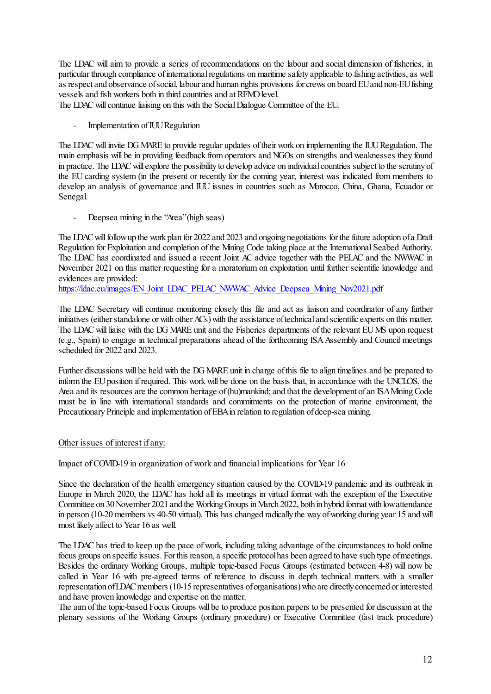The LDAC will aim to provide a series of recommendations on the labour and social dimension of fisheries, in particular through compliance of international regulations on maritime safety applicable to fishing activities, as well as respect and observance of social, labour and human rights provisions for crews on board EU and non-EU fishing vessels and fish workers both in third countries and at RFMO level.

The LDAC will continue liaising on this with the Social Dialogue Committee of the EU.

- Implementation of IUU Regulation

The LDAC will invite DG MARE to provide regular updates of their work on implementing the IUU Regulation. The main emphasis will be in providing feedback from operators and NGOs on strengths and weaknesses they found in practice. The LDAC will explore the possibility to develop advice on individual countries subject to the scrutiny of the EU carding system (in the present or recently for the coming year, interest was indicated from members to develop an analysis of governance and IUU issues in countries such as Morocco, China, Ghana, Ecuador or Senegal.

- Deepsea mining in the "Area" (high seas)

The LDAC will follow up the work plan for 2022 and 2023 and ongoing negotiations for the future adoption of a Draft Regulation for Exploitation and completion of the Mining Code taking place at the International Seabed Authority. The LDAC has coordinated and issued a recent Joint AC advice together with the PELAC and the NWWAC in November 2021 on this matter requesting for a moratorium on exploitation until further scientific knowledge and evidences are provided:

[https://ldac.eu/images/EN\\_Joint\\_LDAC\\_PELAC\\_NWWAC\\_Advice\\_Deepsea\\_Mining\\_Nov2021.pdf](https://ldac.eu/images/EN_Joint_LDAC_PELAC_NWWAC_Advice_Deepsea_Mining_Nov2021.pdf)

The LDAC Secretary will continue monitoring closely this file and act as liaison and coordinator of any further initiatives (either standalone or with other ACs) with the assistance of technical and scientific experts on this matter. The LDAC will liaise with the DG MARE unit and the Fisheries departments of the relevant EU MS upon request (e.g., Spain) to engage in technical preparations ahead of the forthcoming ISA Assembly and Council meetings scheduled for 2022 and 2023.

Further discussions will be held with the DG MARE unit in charge of this file to align timelines and be prepared to inform the EU position if required. This work will be done on the basis that, in accordance with the UNCLOS, the Area and its resources are the common heritage of (hu)mankind; and that the development of an ISA Mining Code must be in line with international standards and commitments on the protection of marine environment, the Precautionary Principle and implementation of EBA in relation to regulation of deep-sea mining.

#### Other issues of interest if any:

Impact of COVID-19 in organization of work and financial implications for Year 16

Since the declaration of the health emergency situation caused by the COVID-19 pandemic and its outbreak in Europe in March 2020, the LDAC has hold all its meetings in virtual format with the exception of the Executive Committee on 30 November 2021 and the Working Groups in March 2022, both in hybrid format with low attendance in person (10-20 members vs 40-50 virtual). This has changed radically the way of working during year 15 and will most likely affect to Year 16 as well.

The LDAC has tried to keep up the pace of work, including taking advantage of the circumstances to hold online focus groups on specific issues. For this reason, a specific protocol has been agreed to have such type of meetings. Besides the ordinary Working Groups, multiple topic-based Focus Groups (estimated between 4-8) will now be called in Year 16 with pre-agreed terms of reference to discuss in depth technical matters with a smaller representation of LDAC members (10-15 representatives of organisations) who are directly concerned or interested and have proven knowledge and expertise on the matter.

The aim of the topic-based Focus Groups will be to produce position papers to be presented for discussion at the plenary sessions of the Working Groups (ordinary procedure) or Executive Committee (fast track procedure)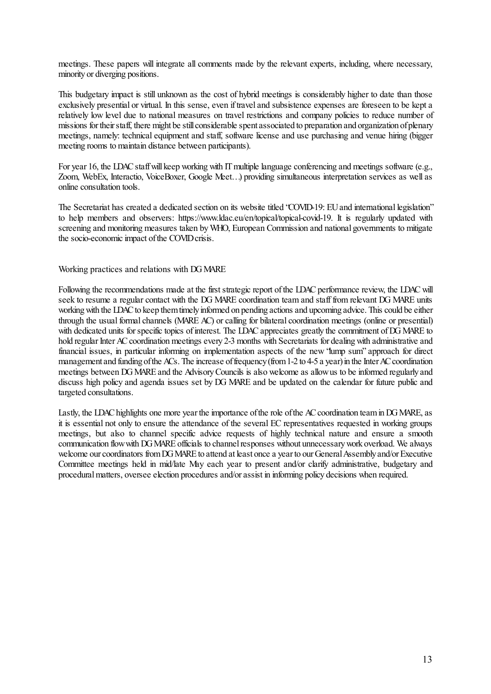meetings. These papers will integrate all comments made by the relevant experts, including, where necessary, minority or diverging positions.

This budgetary impact is still unknown as the cost of hybrid meetings is considerably higher to date than those exclusively presential or virtual. In this sense, even if travel and subsistence expenses are foreseen to be kept a relatively low level due to national measures on travel restrictions and company policies to reduce number of missions for their staff, there might be still considerable spent associated to preparation and organization of plenary meetings, namely: technical equipment and staff, software license and use purchasing and venue hiring (bigger meeting rooms to maintain distance between participants).

For year 16, the LDAC staff will keep working with IT multiple language conferencing and meetings software (e.g., Zoom, WebEx, Interactio, VoiceBoxer, Google Meet…) providing simultaneous interpretation services as well as online consultation tools.

The Secretariat has created a dedicated section on its website titled "COVID-19: EU and international legislation" to help members and observers: https://www.ldac.eu/en/topical/topical-covid-19. It is regularly updated with screening and monitoring measures taken by WHO, European Commission and national governments to mitigate the socio-economic impact of the COVID crisis.

Working practices and relations with DG MARE

Following the recommendations made at the first strategic report of the LDAC performance review, the LDAC will seek to resume a regular contact with the DG MARE coordination team and staff from relevant DG MARE units working with the LDAC to keep them timely informed on pending actions and upcoming advice. This could be either through the usual formal channels (MARE AC) or calling for bilateral coordination meetings (online or presential) with dedicated units for specific topics of interest. The LDAC appreciates greatly the commitment of DG MARE to hold regular Inter AC coordination meetings every 2-3 months with Secretariats for dealing with administrative and financial issues, in particular informing on implementation aspects of the new "lump sum" approach for direct management and funding of the ACs. The increase of frequency (from 1-2 to 4-5 a year) in the Inter AC coordination meetings between DG MARE and the Advisory Councils is also welcome as allow us to be informed regularly and discuss high policy and agenda issues set by DG MARE and be updated on the calendar for future public and targeted consultations.

Lastly, the LDAC highlights one more year the importance of the role of the AC coordination team in DG MARE, as it is essential not only to ensure the attendance of the several EC representatives requested in working groups meetings, but also to channel specific advice requests of highly technical nature and ensure a smooth communication flow with DG MARE officials to channel responses without unnecessary work overload. We always welcome our coordinators from DG MARE to attend at least once a year to our General Assembly and/or Executive Committee meetings held in mid/late May each year to present and/or clarify administrative, budgetary and procedural matters, oversee election procedures and/or assist in informing policy decisions when required.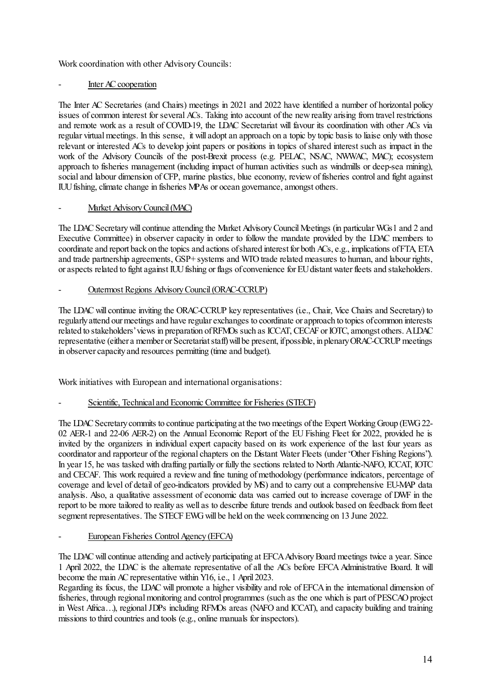Work coordination with other Advisory Councils:

## Inter AC cooperation

The Inter AC Secretaries (and Chairs) meetings in 2021 and 2022 have identified a number of horizontal policy issues of common interest for several ACs. Taking into account of the new reality arising from travel restrictions and remote work as a result of COVID-19, the LDAC Secretariat will favour its coordination with other ACs via regular virtual meetings. In this sense, it will adopt an approach on a topic by topic basis to liaise only with those relevant or interested ACs to develop joint papers or positions in topics of shared interest such as impact in the work of the Advisory Councils of the post-Brexit process (e.g. PELAC, NSAC, NWWAC, MAC); ecosystem approach to fisheries management (including impact of human activities such as windmills or deep-sea mining), social and labour dimension of CFP, marine plastics, blue economy, review of fisheries control and fight against IUU fishing, climate change in fisheries MPAs or ocean governance, amongst others.

## Market Advisory Council (MAC)

The LDAC Secretary will continue attending the Market Advisory Council Meetings (in particular WGs1 and 2 and Executive Committee) in observer capacity in order to follow the mandate provided by the LDAC members to coordinate and report back on the topics and actions of shared interest for both ACs, e.g., implications of FTA, ETA and trade partnership agreements, GSP+ systems and WTO trade related measures to human, and labour rights, or aspects related to fight against IUU fishing or flags of convenience for EU distant water fleets and stakeholders.

## - Outermost Regions Advisory Council (ORAC-CCRUP)

The LDAC will continue inviting the ORAC-CCRUP key representatives (i.e., Chair, Vice Chairs and Secretary) to regularly attend our meetings and have regular exchanges to coordinate or approach to topics of common interests related to stakeholders' views in preparation of RFMOs such as ICCAT, CECAF or IOTC, amongst others. A LDAC representative (either a member or Secretariat staff) will be present, if possible, in plenary ORAC-CCRUP meetings in observer capacity and resources permitting (time and budget).

Work initiatives with European and international organisations:

## Scientific, Technical and Economic Committee for Fisheries (STECF)

The LDAC Secretary commits to continue participating at the two meetings of the Expert Working Group (EWG 22- 02 AER-1 and 22-06 AER-2) on the Annual Economic Report of the EU Fishing Fleet for 2022, provided he is invited by the organizers in individual expert capacity based on its work experience of the last four years as coordinator and rapporteur of the regional chapters on the Distant Water Fleets (under "Other Fishing Regions"). In year 15, he was tasked with drafting partially or fully the sections related to North Atlantic-NAFO, ICCAT, IOTC and CECAF. This work required a review and fine tuning of methodology (performance indicators, percentage of coverage and level of detail of geo-indicators provided by MS) and to carry out a comprehensive EU-MAP data analysis. Also, a qualitative assessment of economic data was carried out to increase coverage of DWF in the report to be more tailored to reality as well as to describe future trends and outlook based on feedback from fleet segment representatives. The STECF EWG will be held on the week commencing on 13 June 2022.

## European Fisheries Control Agency (EFCA)

The LDAC will continue attending and actively participating at EFCA Advisory Board meetings twice a year. Since 1 April 2022, the LDAC is the alternate representative of all the ACs before EFCA Administrative Board. It will become the main AC representative within Y16, i.e., 1 April 2023.

Regarding its focus, the LDAC will promote a higher visibility and role of EFCA in the international dimension of fisheries, through regional monitoring and control programmes (such as the one which is part of PESCAO project in West Africa…), regional JDPs including RFMOs areas (NAFO and ICCAT), and capacity building and training missions to third countries and tools (e.g., online manuals for inspectors).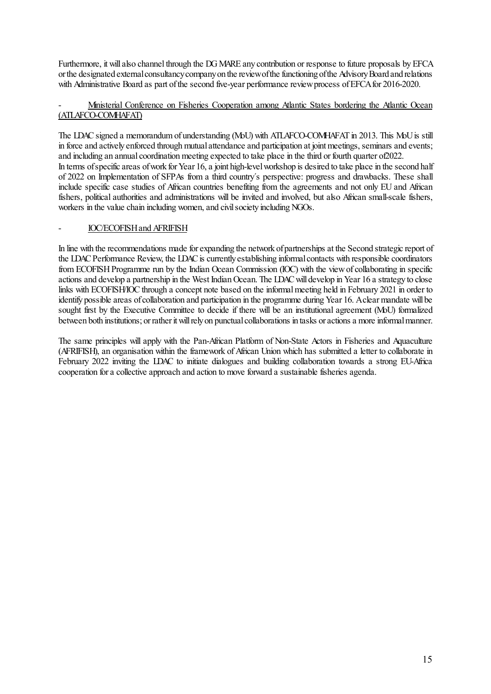Furthermore, it will also channel through the DG MARE any contribution or response to future proposals by EFCA or the designated external consultancy company on the review of the functioning of the Advisory Board and relations with Administrative Board as part of the second five-year performance review process of EFCA for 2016-2020.

### - Ministerial Conference on Fisheries Cooperation among Atlantic States bordering the Atlantic Ocean (ATLAFCO-COMHAFAT)

The LDAC signed a memorandum of understanding (MoU) with ATLAFCO-COMHAFAT in 2013. This MoU is still in force and actively enforced through mutual attendance and participation at joint meetings, seminars and events; and including an annual coordination meeting expected to take place in the third or fourth quarter of2022. In terms of specific areas of work for Year 16, a joint high-level workshop is desired to take place in the second half of 2022 on Implementation of SFPAs from a third country´s perspective: progress and drawbacks. These shall include specific case studies of African countries benefiting from the agreements and not only EU and African fishers, political authorities and administrations will be invited and involved, but also African small-scale fishers, workers in the value chain including women, and civil society including NGOs.

### - IOC/ECOFISH and AFRIFISH

In line with the recommendations made for expanding the network of partnerships at the Second strategic report of the LDAC Performance Review, the LDAC is currently establishing informal contacts with responsible coordinators from ECOFISH Programme run by the Indian Ocean Commission (IOC) with the view of collaborating in specific actions and develop a partnership in the West Indian Ocean. The LDAC will develop in Year 16 a strategy to close links with ECOFISH/IOC through a concept note based on the informal meeting held in February 2021 in order to identify possible areas of collaboration and participation in the programme during Year 16. A clear mandate will be sought first by the Executive Committee to decide if there will be an institutional agreement (MoU) formalized between both institutions; or rather it will rely on punctual collaborations in tasks or actions a more informal manner.

The same principles will apply with the Pan-African Platform of Non-State Actors in Fisheries and Aquaculture (AFRIFISH), an organisation within the framework of African Union which has submitted a letter to collaborate in February 2022 inviting the LDAC to initiate dialogues and building collaboration towards a strong EU-Africa cooperation for a collective approach and action to move forward a sustainable fisheries agenda.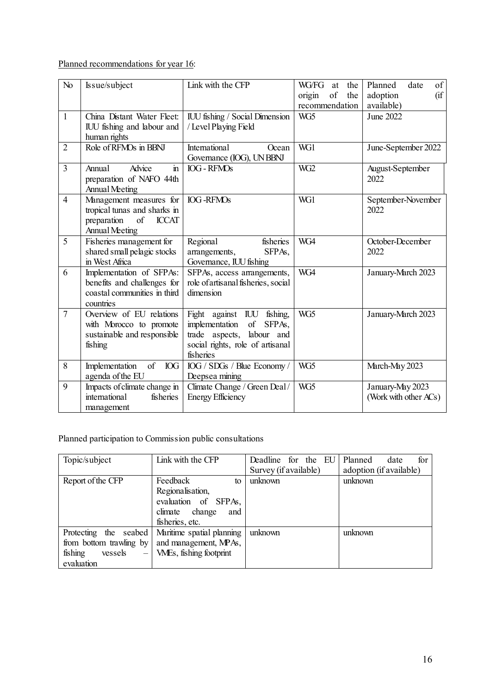Planned recommendations for year 16:

| No             | Is sue/subject                                                                                                        | Link with the CFP                                                                                                                                     | WG/FG<br>the<br>at                    | of<br>Planned<br>date                     |
|----------------|-----------------------------------------------------------------------------------------------------------------------|-------------------------------------------------------------------------------------------------------------------------------------------------------|---------------------------------------|-------------------------------------------|
|                |                                                                                                                       |                                                                                                                                                       | of<br>the<br>origin<br>recommendation | (f<br>adoption<br>available)              |
| $\mathbf{1}$   | China Distant Water Fleet:<br>IUU fishing and labour and<br>human rights                                              | IUU fishing / Social Dimension<br>/ Level Playing Field                                                                                               | WG <sub>5</sub>                       | June 2022                                 |
| $\overline{2}$ | Role of RFMOs in BBNJ                                                                                                 | International<br>Ocean<br>Governance (IOG), UN BBNJ                                                                                                   | WG1                                   | June-September 2022                       |
| $\overline{3}$ | Advice<br>$\mathbf{m}$<br>Annual<br>preparation of NAFO 44th<br><b>Annual Meeting</b>                                 | <b>IOG - RFMOs</b>                                                                                                                                    | WG <sub>2</sub>                       | August-September<br>2022                  |
| $\overline{4}$ | Management measures for<br>tropical tunas and sharks in<br>of<br>preparation<br><b>ICCAT</b><br><b>Annual Meeting</b> | <b>IOG-RFMOs</b>                                                                                                                                      | WG1                                   | September-November<br>2022                |
| 5              | Fisheries management for<br>shared small pelagic stocks<br>in West Africa                                             | Regional<br>fisheries<br>SFPAs,<br>arrangements,<br>Governance, IUU fishing                                                                           | WG4                                   | October-December<br>2022                  |
| 6              | Implementation of SFPAs:<br>benefits and challenges for<br>coastal communities in third<br>countries                  | SFPAs, access arrangements,<br>role of artisanal fisheries, social<br>dimension                                                                       | WG4                                   | January-March 2023                        |
| $\overline{7}$ | Overview of EU relations<br>with Morocco to promote<br>sustainable and responsible<br>fishing                         | Fight against IUU<br>fishing,<br>implementation<br>$\sigma f$<br>SFPAs,<br>trade aspects, labour and<br>social rights, role of artisanal<br>fisheries | WG5                                   | January-March 2023                        |
| 8              | of<br>Implementation<br><b>IOG</b><br>agenda of the EU                                                                | IOG / SDGs / Blue Economy /<br>Deepsea mining                                                                                                         | WG5                                   | March-May 2023                            |
| 9              | Impacts of climate change in<br>international<br>fisheries<br>management                                              | Climate Change / Green Deal /<br><b>Energy Efficiency</b>                                                                                             | WG5                                   | January-May 2023<br>(Work with other ACs) |

Planned participation to Commission public consultations

| Topic/subject                                  | Link with the CFP         | Deadline<br>for the EU | for<br>Planned<br>date  |  |
|------------------------------------------------|---------------------------|------------------------|-------------------------|--|
|                                                |                           | Survey (if available)  | adoption (if available) |  |
| Report of the CFP                              | Feedback<br>to            | unknown                | unknown                 |  |
|                                                | Regionalisation,          |                        |                         |  |
|                                                | evaluation of SFPAs,      |                        |                         |  |
|                                                | change<br>climate<br>and  |                        |                         |  |
|                                                | fisheries, etc.           |                        |                         |  |
| the seabed<br>Protecting                       | Maritime spatial planning | unknown                | unknown                 |  |
| from bottom trawling by                        | and management, MPAs,     |                        |                         |  |
| fishing<br>vessels<br>$\overline{\phantom{0}}$ | VMEs, fishing footprint   |                        |                         |  |
| evaluation                                     |                           |                        |                         |  |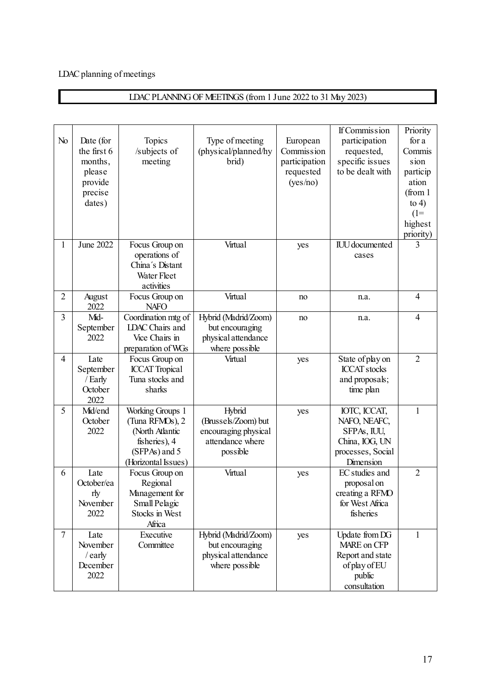## LDAC planning of meetings

# LDAC PLANNING OF MEETINGS (from 1 June 2022 to 31 May 2023)

| No             | Date (for<br>the first 6<br>months,<br>please<br>provide<br>precise<br>dates) | Topics<br>/subjects of<br>meeting                                                                               | Type of meeting<br>(physical/planned/hy<br>brid)                                      | European<br>Commission<br>participation<br>requested<br>(yes/no) | <b>If Commission</b><br>participation<br>requested,<br>specific issues<br>to be dealt with      | Priority<br>for a<br>Commis<br>sion<br>particip<br>ation<br>(from <sub>1</sub> )<br>to $4)$<br>$(1=$<br>highest<br>priority) |
|----------------|-------------------------------------------------------------------------------|-----------------------------------------------------------------------------------------------------------------|---------------------------------------------------------------------------------------|------------------------------------------------------------------|-------------------------------------------------------------------------------------------------|------------------------------------------------------------------------------------------------------------------------------|
| 1              | June 2022                                                                     | Focus Group on<br>operations of<br>China's Distant<br>Water Fleet<br>activities                                 | Virtual                                                                               | yes                                                              | <b>IUU</b> documented<br>cases                                                                  | $\overline{3}$                                                                                                               |
| $\overline{2}$ | August<br>2022                                                                | Focus Group on<br><b>NAFO</b>                                                                                   | Virtual                                                                               | no                                                               | n.a.                                                                                            | $\overline{4}$                                                                                                               |
| $\overline{3}$ | Mid-<br>September<br>2022                                                     | Coordination mtg of<br><b>LDAC</b> Chairs and<br>Vice Chairs in<br>preparation of WGs                           | Hybrid (Madrid/Zoom)<br>but encouraging<br>physical attendance<br>where possible      | no                                                               | n.a.                                                                                            | $\overline{4}$                                                                                                               |
| $\overline{4}$ | Late<br>September<br>/ Early<br>October<br>2022                               | Focus Group on<br><b>ICCAT</b> Tropical<br>Tuna stocks and<br>sharks                                            | Virtual                                                                               | yes                                                              | State of play on<br><b>ICCAT</b> stocks<br>and proposals;<br>time plan                          | $\overline{2}$                                                                                                               |
| 5              | Mid/end<br>October<br>2022                                                    | Working Groups 1<br>(Tuna RFMOs), 2<br>(North Atlantic<br>fisheries), 4<br>(SFPAs) and 5<br>(Horizontal Issues) | Hybrid<br>(Brussels/Zoom) but<br>encouraging physical<br>attendance where<br>possible | yes                                                              | IOTC, ICCAT,<br>NAFO, NEAFC,<br>SFPAs, IUU,<br>China, IOG, UN<br>processes, Social<br>Dimension | $\mathbf{1}$                                                                                                                 |
| 6              | Late<br>October/ea<br>rly<br>November<br>2022                                 | Focus Group on<br>Regional<br>Management for<br>Small Pelagic<br>Stocks in West<br>Africa                       | Virtual                                                                               | yes                                                              | EC studies and<br>proposal on<br>creating a RFMO<br>for West Africa<br>fisheries                | $\overline{2}$                                                                                                               |
| $\overline{7}$ | Late<br>November<br>/ early<br>December<br>2022                               | Executive<br>Committee                                                                                          | Hybrid (Madrid/Zoom)<br>but encouraging<br>physical attendance<br>where possible      | yes                                                              | Update from DG<br>MARE on CFP<br>Report and state<br>of play of EU<br>public<br>consultation    | $\mathbf{1}$                                                                                                                 |